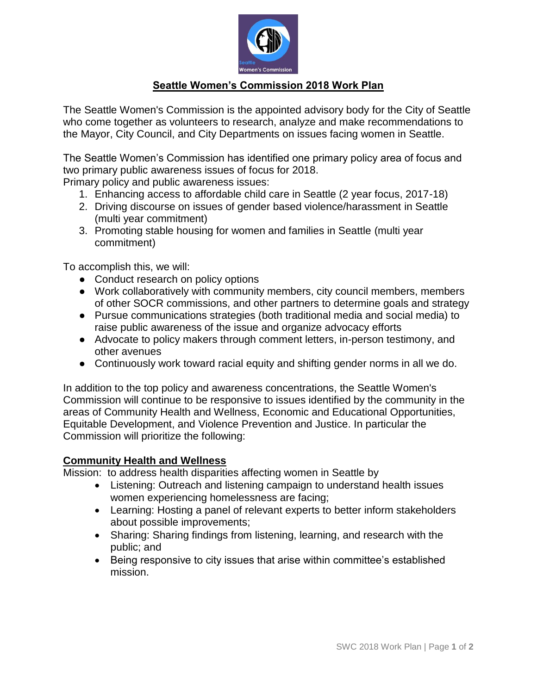

# **Seattle Women's Commission 2018 Work Plan**

The Seattle Women's Commission is the appointed advisory body for the City of Seattle who come together as volunteers to research, analyze and make recommendations to the Mayor, City Council, and City Departments on issues facing women in Seattle.

The Seattle Women's Commission has identified one primary policy area of focus and two primary public awareness issues of focus for 2018.

Primary policy and public awareness issues:

- 1. Enhancing access to affordable child care in Seattle (2 year focus, 2017-18)
- 2. Driving discourse on issues of gender based violence/harassment in Seattle (multi year commitment)
- 3. Promoting stable housing for women and families in Seattle (multi year commitment)

To accomplish this, we will:

- Conduct research on policy options
- Work collaboratively with community members, city council members, members of other SOCR commissions, and other partners to determine goals and strategy
- Pursue communications strategies (both traditional media and social media) to raise public awareness of the issue and organize advocacy efforts
- Advocate to policy makers through comment letters, in-person testimony, and other avenues
- Continuously work toward racial equity and shifting gender norms in all we do.

In addition to the top policy and awareness concentrations, the Seattle Women's Commission will continue to be responsive to issues identified by the community in the areas of Community Health and Wellness, Economic and Educational Opportunities, Equitable Development, and Violence Prevention and Justice. In particular the Commission will prioritize the following:

### **Community Health and Wellness**

Mission: to address health disparities affecting women in Seattle by

- Listening: Outreach and listening campaign to understand health issues women experiencing homelessness are facing;
- Learning: Hosting a panel of relevant experts to better inform stakeholders about possible improvements;
- Sharing: Sharing findings from listening, learning, and research with the public; and
- Being responsive to city issues that arise within committee's established mission.